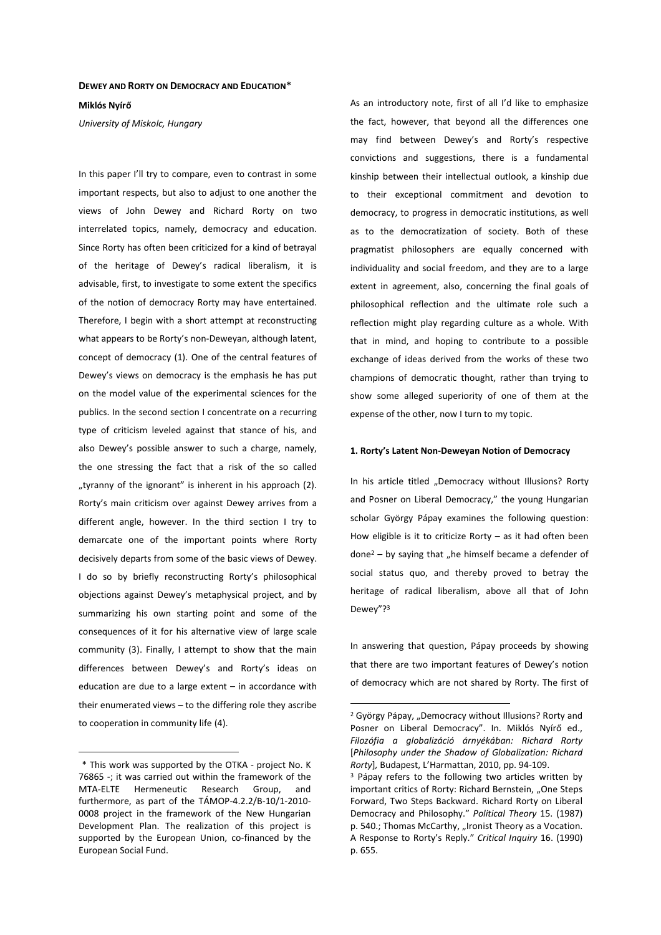### **DEWEY AND RORTY ON DEMOCRACY AND EDUCATION**\*

**Miklós Nyírő** 

*University of Miskolc, Hungary* 

In this paper I'll try to compare, even to contrast in some important respects, but also to adjust to one another the views of John Dewey and Richard Rorty on two interrelated topics, namely, democracy and education. Since Rorty has often been criticized for a kind of betrayal of the heritage of Dewey's radical liberalism, it is advisable, first, to investigate to some extent the specifics of the notion of democracy Rorty may have entertained. Therefore, I begin with a short attempt at reconstructing what appears to be Rorty's non-Deweyan, although latent, concept of democracy (1). One of the central features of Dewey's views on democracy is the emphasis he has put on the model value of the experimental sciences for the publics. In the second section I concentrate on a recurring type of criticism leveled against that stance of his, and also Dewey's possible answer to such a charge, namely, the one stressing the fact that a risk of the so called "tyranny of the ignorant" is inherent in his approach (2). Rorty's main criticism over against Dewey arrives from a different angle, however. In the third section I try to demarcate one of the important points where Rorty decisively departs from some of the basic views of Dewey. I do so by briefly reconstructing Rorty's philosophical objections against Dewey's metaphysical project, and by summarizing his own starting point and some of the consequences of it for his alternative view of large scale community (3). Finally, I attempt to show that the main differences between Dewey's and Rorty's ideas on education are due to a large extent – in accordance with their enumerated views – to the differing role they ascribe to cooperation in community life (4).

 $\overline{a}$ 

As an introductory note, first of all I'd like to emphasize the fact, however, that beyond all the differences one may find between Dewey's and Rorty's respective convictions and suggestions, there is a fundamental kinship between their intellectual outlook, a kinship due to their exceptional commitment and devotion to democracy, to progress in democratic institutions, as well as to the democratization of society. Both of these pragmatist philosophers are equally concerned with individuality and social freedom, and they are to a large extent in agreement, also, concerning the final goals of philosophical reflection and the ultimate role such a reflection might play regarding culture as a whole. With that in mind, and hoping to contribute to a possible exchange of ideas derived from the works of these two champions of democratic thought, rather than trying to show some alleged superiority of one of them at the expense of the other, now I turn to my topic.

#### **1. Rorty's Latent Non-Deweyan Notion of Democracy**

In his article titled "Democracy without Illusions? Rorty and Posner on Liberal Democracy," the young Hungarian scholar György Pápay examines the following question: How eligible is it to criticize Rorty  $-$  as it had often been  $done<sup>2</sup> - by saying that$  "he himself became a defender of social status quo, and thereby proved to betray the heritage of radical liberalism, above all that of John Dewey"?<sup>3</sup>

In answering that question, Pápay proceeds by showing that there are two important features of Dewey's notion of democracy which are not shared by Rorty. The first of

<sup>1</sup>\* This work was supported by the OTKA - project No. K 76865 -; it was carried out within the framework of the MTA-ELTE Hermeneutic Research Group, and furthermore, as part of the TÁMOP-4.2.2/B-10/1-2010- 0008 project in the framework of the New Hungarian Development Plan. The realization of this project is supported by the European Union, co-financed by the European Social Fund.

<sup>&</sup>lt;sup>2</sup> György Pápay, "Democracy without Illusions? Rorty and Posner on Liberal Democracy". In. Miklós Nyírő ed., *Filozófia a globalizáció árnyékában: Richard Rorty*  [*Philosophy under the Shadow of Globalization: Richard Rorty*]*,* Budapest, L'Harmattan, 2010, pp. 94-109.

<sup>&</sup>lt;sup>3</sup> Pápay refers to the following two articles written by important critics of Rorty: Richard Bernstein, "One Steps Forward, Two Steps Backward. Richard Rorty on Liberal Democracy and Philosophy." *Political Theory* 15. (1987) p. 540.; Thomas McCarthy, "Ironist Theory as a Vocation. A Response to Rorty's Reply." *Critical Inquiry* 16. (1990) p. 655.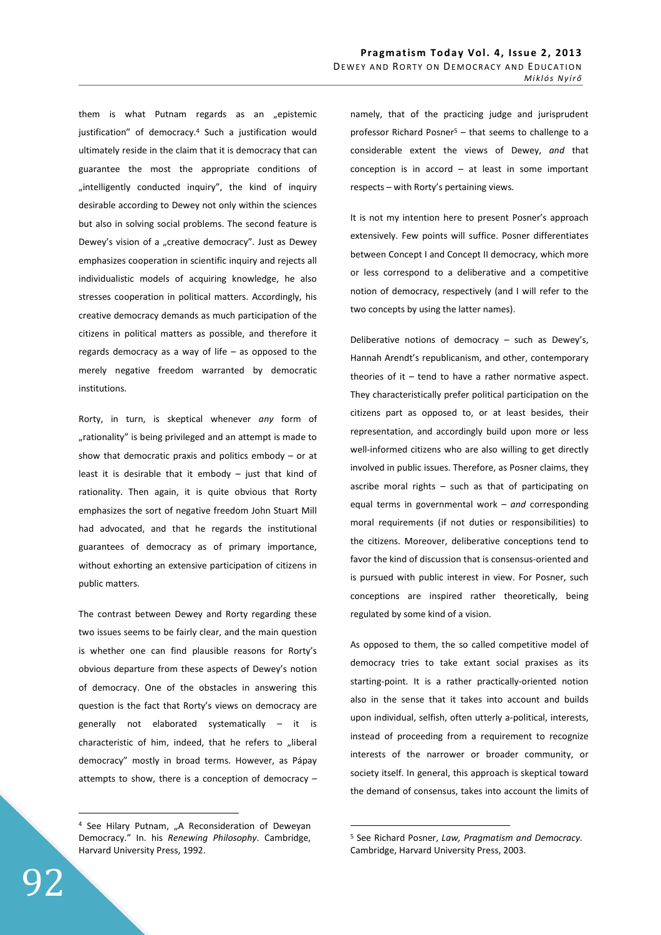them is what Putnam regards as an "epistemic justification" of democracy.<sup>4</sup> Such a justification would ultimately reside in the claim that it is democracy that can guarantee the most the appropriate conditions of "intelligently conducted inquiry", the kind of inquiry desirable according to Dewey not only within the sciences but also in solving social problems. The second feature is Dewey's vision of a "creative democracy". Just as Dewey emphasizes cooperation in scientific inquiry and rejects all individualistic models of acquiring knowledge, he also stresses cooperation in political matters. Accordingly, his creative democracy demands as much participation of the citizens in political matters as possible, and therefore it regards democracy as a way of life – as opposed to the merely negative freedom warranted by democratic institutions.

Rorty, in turn, is skeptical whenever *any* form of "rationality" is being privileged and an attempt is made to show that democratic praxis and politics embody  $-$  or at least it is desirable that it embody  $-$  just that kind of rationality. Then again, it is quite obvious that Rorty emphasizes the sort of negative freedom John Stuart Mill had advocated, and that he regards the institutional guarantees of democracy as of primary importance, without exhorting an extensive participation of citizens in public matters.

The contrast between Dewey and Rorty regarding these two issues seems to be fairly clear, and the main question is whether one can find plausible reasons for Rorty's obvious departure from these aspects of Dewey's notion of democracy. One of the obstacles in answering this question is the fact that Rorty's views on democracy are generally not elaborated systematically – it is characteristic of him, indeed, that he refers to "liberal democracy" mostly in broad terms. However, as Pápay attempts to show, there is a conception of democracy – namely, that of the practicing judge and jurisprudent professor Richard Posner<sup>5</sup> - that seems to challenge to a considerable extent the views of Dewey, *and* that conception is in accord  $-$  at least in some important respects – with Rorty's pertaining views.

It is not my intention here to present Posner's approach extensively. Few points will suffice. Posner differentiates between Concept I and Concept II democracy, which more or less correspond to a deliberative and a competitive notion of democracy, respectively (and I will refer to the two concepts by using the latter names).

Deliberative notions of democracy – such as Dewey's, Hannah Arendt's republicanism, and other, contemporary theories of it  $-$  tend to have a rather normative aspect. They characteristically prefer political participation on the citizens part as opposed to, or at least besides, their representation, and accordingly build upon more or less well-informed citizens who are also willing to get directly involved in public issues. Therefore, as Posner claims, they ascribe moral rights – such as that of participating on equal terms in governmental work – *and* corresponding moral requirements (if not duties or responsibilities) to the citizens. Moreover, deliberative conceptions tend to favor the kind of discussion that is consensus-oriented and is pursued with public interest in view. For Posner, such conceptions are inspired rather theoretically, being regulated by some kind of a vision.

As opposed to them, the so called competitive model of democracy tries to take extant social praxises as its starting-point. It is a rather practically-oriented notion also in the sense that it takes into account and builds upon individual, selfish, often utterly a-political, interests, instead of proceeding from a requirement to recognize interests of the narrower or broader community, or society itself. In general, this approach is skeptical toward the demand of consensus, takes into account the limits of

 $\overline{a}$ 

<sup>&</sup>lt;sup>4</sup> See Hilary Putnam, "A Reconsideration of Deweyan Democracy." In. his *Renewing Philosophy*. Cambridge, Harvard University Press, 1992.

<sup>5</sup> See Richard Posner, *Law, Pragmatism and Democracy.*  Cambridge, Harvard University Press, 2003.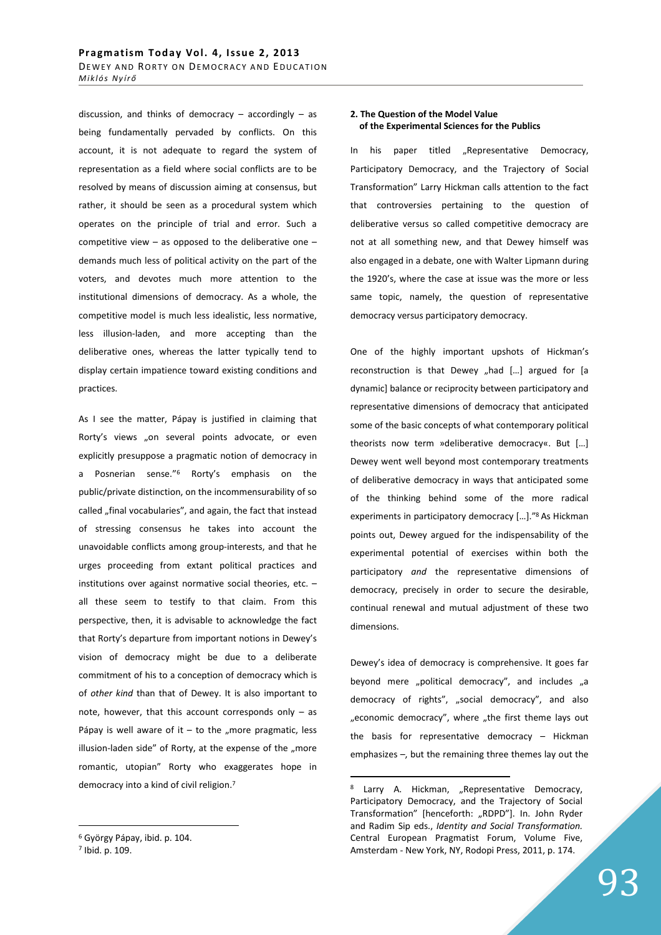discussion, and thinks of democracy  $-$  accordingly  $-$  as being fundamentally pervaded by conflicts. On this account, it is not adequate to regard the system of representation as a field where social conflicts are to be resolved by means of discussion aiming at consensus, but rather, it should be seen as a procedural system which operates on the principle of trial and error*.* Such a competitive view  $-$  as opposed to the deliberative one  $$ demands much less of political activity on the part of the voters, and devotes much more attention to the institutional dimensions of democracy. As a whole, the competitive model is much less idealistic, less normative, less illusion-laden, and more accepting than the deliberative ones, whereas the latter typically tend to display certain impatience toward existing conditions and practices.

As I see the matter, Pápay is justified in claiming that Rorty's views "on several points advocate, or even explicitly presuppose a pragmatic notion of democracy in a Posnerian sense."<sup>6</sup> Rorty's emphasis on the public/private distinction, on the incommensurability of so called "final vocabularies", and again, the fact that instead of stressing consensus he takes into account the unavoidable conflicts among group-interests, and that he urges proceeding from extant political practices and institutions over against normative social theories, etc. – all these seem to testify to that claim. From this perspective, then, it is advisable to acknowledge the fact that Rorty's departure from important notions in Dewey's vision of democracy might be due to a deliberate commitment of his to a conception of democracy which is of *other kind* than that of Dewey. It is also important to note, however, that this account corresponds only  $-$  as Pápay is well aware of it  $-$  to the "more pragmatic, less illusion-laden side" of Rorty, at the expense of the "more romantic, utopian" Rorty who exaggerates hope in democracy into a kind of civil religion.<sup>7</sup>

 $\overline{a}$ 

# **2. The Question of the Model Value of the Experimental Sciences for the Publics**

In his paper titled "Representative Democracy, Participatory Democracy, and the Trajectory of Social Transformation" Larry Hickman calls attention to the fact that controversies pertaining to the question of deliberative versus so called competitive democracy are not at all something new, and that Dewey himself was also engaged in a debate, one with Walter Lipmann during the 1920's, where the case at issue was the more or less same topic, namely, the question of representative democracy versus participatory democracy.

One of the highly important upshots of Hickman's reconstruction is that Dewey "had [...] argued for [a dynamic] balance or reciprocity between participatory and representative dimensions of democracy that anticipated some of the basic concepts of what contemporary political theorists now term »deliberative democracy«. But […] Dewey went well beyond most contemporary treatments of deliberative democracy in ways that anticipated some of the thinking behind some of the more radical experiments in participatory democracy [...]."<sup>8</sup> As Hickman points out, Dewey argued for the indispensability of the experimental potential of exercises within both the participatory *and* the representative dimensions of democracy, precisely in order to secure the desirable, continual renewal and mutual adjustment of these two dimensions.

Dewey's idea of democracy is comprehensive. It goes far beyond mere "political democracy", and includes "a democracy of rights", "social democracy", and also "economic democracy", where "the first theme lays out the basis for representative democracy – Hickman emphasizes –, but the remaining three themes lay out the

<sup>6</sup> György Pápay, ibid. p. 104.

<sup>7</sup> Ibid. p. 109.

<sup>&</sup>lt;sup>8</sup> Larry A. Hickman, "Representative Democracy, Participatory Democracy, and the Trajectory of Social Transformation" [henceforth: "RDPD"]. In. John Ryder and Radim Sip eds., *Identity and Social Transformation.*  Central European Pragmatist Forum, Volume Five, Amsterdam - New York, NY, Rodopi Press, 2011, p. 174.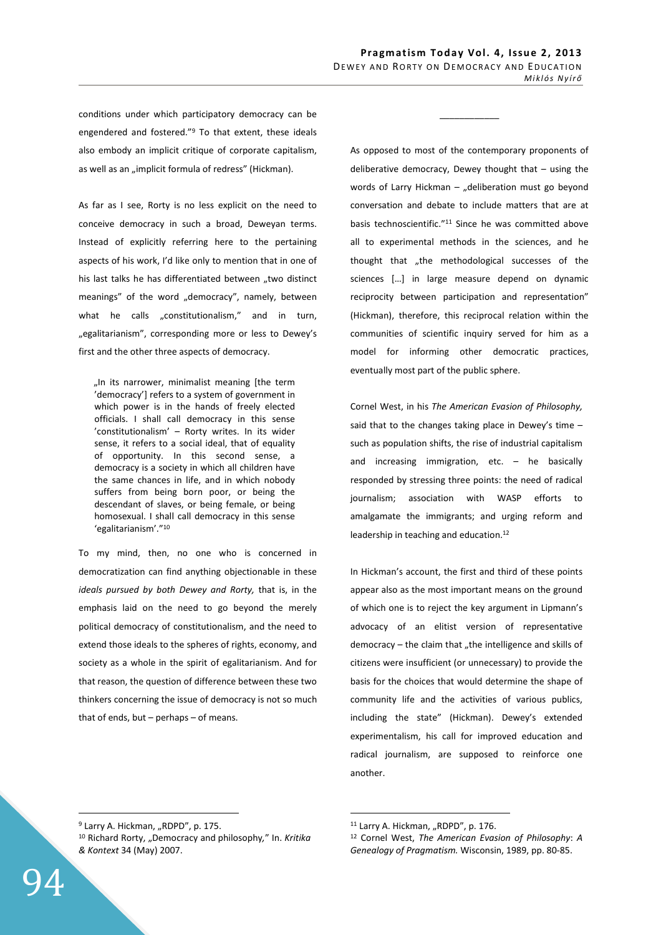$\mathcal{L}_\text{max}$ 

conditions under which participatory democracy can be engendered and fostered."<sup>9</sup> To that extent, these ideals also embody an implicit critique of corporate capitalism, as well as an "implicit formula of redress" (Hickman).

As far as I see, Rorty is no less explicit on the need to conceive democracy in such a broad, Deweyan terms. Instead of explicitly referring here to the pertaining aspects of his work, I'd like only to mention that in one of his last talks he has differentiated between "two distinct meanings" of the word "democracy", namely, between what he calls "constitutionalism," and in turn, "egalitarianism", corresponding more or less to Dewey's first and the other three aspects of democracy.

"In its narrower, minimalist meaning [the term 'democracy'] refers to a system of government in which power is in the hands of freely elected officials. I shall call democracy in this sense 'constitutionalism' – Rorty writes. In its wider sense, it refers to a social ideal, that of equality of opportunity. In this second sense, a democracy is a society in which all children have the same chances in life, and in which nobody suffers from being born poor, or being the descendant of slaves, or being female, or being homosexual. I shall call democracy in this sense 'egalitarianism'."<sup>10</sup>

To my mind, then, no one who is concerned in democratization can find anything objectionable in these *ideals pursued by both Dewey and Rorty,* that is, in the emphasis laid on the need to go beyond the merely political democracy of constitutionalism, and the need to extend those ideals to the spheres of rights, economy, and society as a whole in the spirit of egalitarianism. And for that reason, the question of difference between these two thinkers concerning the issue of democracy is not so much that of ends, but – perhaps – of means.

As opposed to most of the contemporary proponents of deliberative democracy, Dewey thought that – using the words of Larry Hickman  $-$  "deliberation must go beyond conversation and debate to include matters that are at basis technoscientific."<sup>11</sup> Since he was committed above all to experimental methods in the sciences, and he thought that "the methodological successes of the sciences […] in large measure depend on dynamic reciprocity between participation and representation" (Hickman), therefore, this reciprocal relation within the communities of scientific inquiry served for him as a model for informing other democratic practices, eventually most part of the public sphere.

Cornel West, in his *The American Evasion of Philosophy,*  said that to the changes taking place in Dewey's time – such as population shifts, the rise of industrial capitalism and increasing immigration, etc.  $-$  he basically responded by stressing three points: the need of radical journalism; association with WASP efforts to amalgamate the immigrants; and urging reform and leadership in teaching and education.<sup>12</sup>

In Hickman's account, the first and third of these points appear also as the most important means on the ground of which one is to reject the key argument in Lipmann's advocacy of an elitist version of representative  $demoracy$  – the claim that "the intelligence and skills of citizens were insufficient (or unnecessary) to provide the basis for the choices that would determine the shape of community life and the activities of various publics, including the state" (Hickman). Dewey's extended experimentalism, his call for improved education and radical journalism, are supposed to reinforce one another.

<sup>9</sup> Larry A. Hickman, "RDPD", p. 175. <sup>10</sup> Richard Rorty, "Democracy and philosophy*,*" In. *Kritika & Kontext* 34 (May) 2007.

94

 $\overline{a}$ 

<sup>&</sup>lt;sup>11</sup> Larry A. Hickman, "RDPD", p. 176.

<sup>12</sup> Cornel West, *The American Evasion of Philosophy*: *A Genealogy of Pragmatism.* Wisconsin, 1989, pp. 80-85.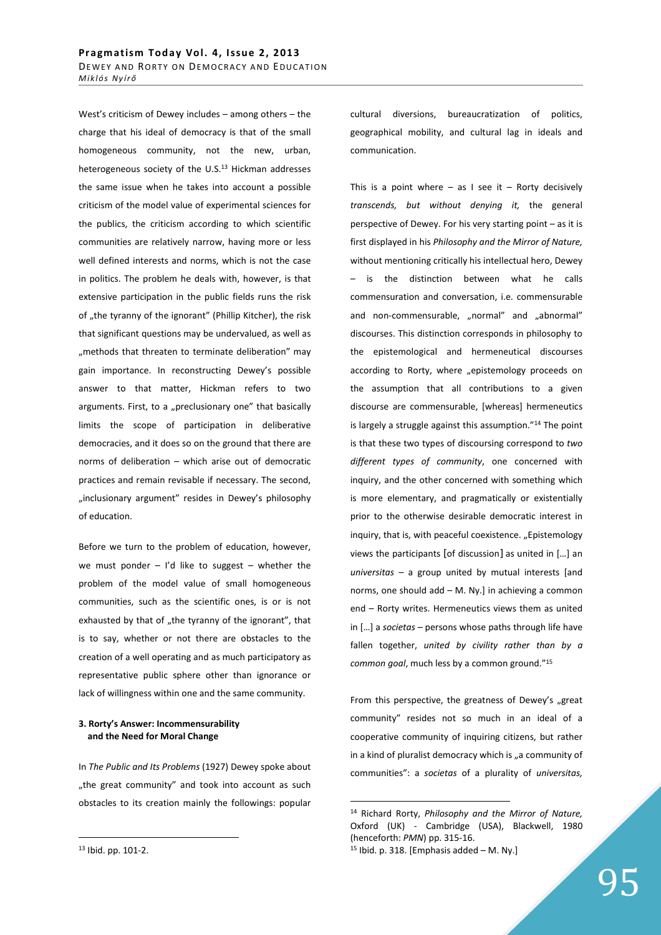West's criticism of Dewey includes – among others – the charge that his ideal of democracy is that of the small homogeneous community, not the new, urban, heterogeneous society of the U.S.<sup>13</sup> Hickman addresses the same issue when he takes into account a possible criticism of the model value of experimental sciences for the publics, the criticism according to which scientific communities are relatively narrow, having more or less well defined interests and norms, which is not the case in politics. The problem he deals with, however, is that extensive participation in the public fields runs the risk of "the tyranny of the ignorant" (Phillip Kitcher), the risk that significant questions may be undervalued, as well as "methods that threaten to terminate deliberation" may gain importance. In reconstructing Dewey's possible answer to that matter, Hickman refers to two arguments. First, to a "preclusionary one" that basically limits the scope of participation in deliberative democracies, and it does so on the ground that there are norms of deliberation – which arise out of democratic practices and remain revisable if necessary. The second, "inclusionary argument" resides in Dewey's philosophy of education.

Before we turn to the problem of education, however, we must ponder  $-$  I'd like to suggest  $-$  whether the problem of the model value of small homogeneous communities, such as the scientific ones, is or is not exhausted by that of "the tyranny of the ignorant", that is to say, whether or not there are obstacles to the creation of a well operating and as much participatory as representative public sphere other than ignorance or lack of willingness within one and the same community.

## **3. Rorty's Answer: Incommensurability and the Need for Moral Change**

In *The Public and Its Problems* (1927) Dewey spoke about "the great community" and took into account as such obstacles to its creation mainly the followings: popular

 $\overline{a}$ 

cultural diversions, bureaucratization of politics, geographical mobility, and cultural lag in ideals and communication.

This is a point where  $-$  as I see it  $-$  Rorty decisively *transcends, but without denying it,* the general perspective of Dewey. For his very starting point – as it is first displayed in his *Philosophy and the Mirror of Nature,*  without mentioning critically his intellectual hero, Dewey – is the distinction between what he calls commensuration and conversation, i.e. commensurable and non-commensurable, "normal" and "abnormal" discourses. This distinction corresponds in philosophy to the epistemological and hermeneutical discourses according to Rorty, where "epistemology proceeds on the assumption that all contributions to a given discourse are commensurable, [whereas] hermeneutics is largely a struggle against this assumption."<sup>14</sup> The point is that these two types of discoursing correspond to *two different types of community*, one concerned with inquiry, and the other concerned with something which is more elementary, and pragmatically or existentially prior to the otherwise desirable democratic interest in inquiry, that is, with peaceful coexistence. "Epistemology views the participants [of discussion] as united in […] an *universitas –* a group united by mutual interests [and norms, one should add – M. Ny.] in achieving a common end – Rorty writes. Hermeneutics views them as united in […] a *societas –* persons whose paths through life have fallen together, *united by civility rather than by a common goal*, much less by a common ground."<sup>15</sup>

From this perspective, the greatness of Dewey's "great community" resides not so much in an ideal of a cooperative community of inquiring citizens, but rather in a kind of pluralist democracy which is "a community of communities": a *societas* of a plurality of *universitas,* 

<sup>14</sup> Richard Rorty, *Philosophy and the Mirror of Nature,*  Oxford (UK) - Cambridge (USA), Blackwell, 1980 (henceforth: *PMN*) pp. 315-16.  $15$  Ibid. p. 318. [Emphasis added  $-$  M. Ny.]

<sup>13</sup> Ibid. pp. 101-2.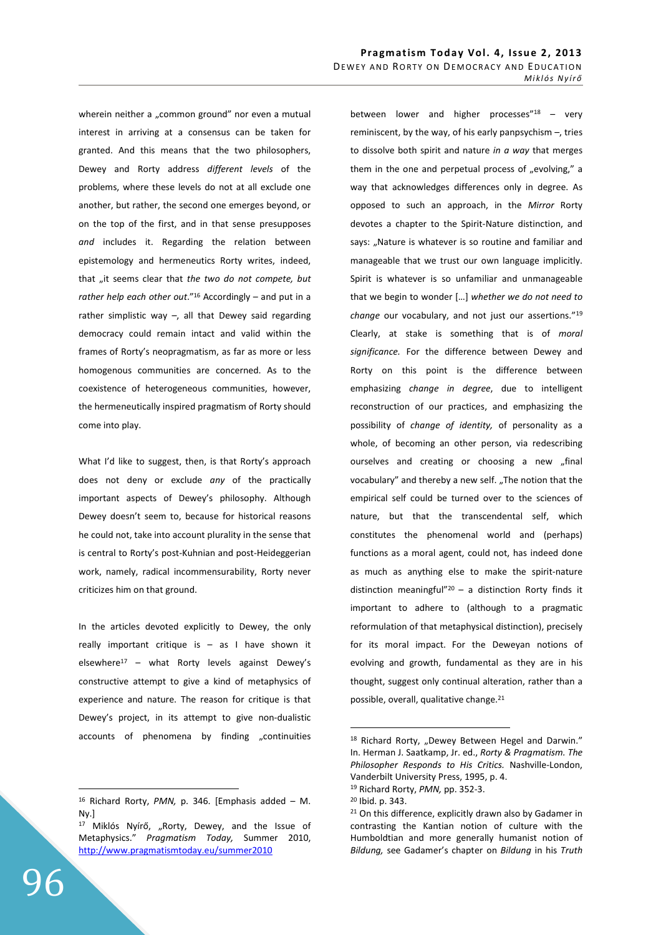wherein neither a "common ground" nor even a mutual interest in arriving at a consensus can be taken for granted. And this means that the two philosophers, Dewey and Rorty address *different levels* of the problems, where these levels do not at all exclude one another, but rather, the second one emerges beyond, or on the top of the first, and in that sense presupposes *and* includes it. Regarding the relation between epistemology and hermeneutics Rorty writes, indeed, that "it seems clear that *the two do not compete, but rather help each other out*."<sup>16</sup> Accordingly – and put in a rather simplistic way –, all that Dewey said regarding democracy could remain intact and valid within the frames of Rorty's neopragmatism, as far as more or less homogenous communities are concerned. As to the coexistence of heterogeneous communities, however, the hermeneutically inspired pragmatism of Rorty should come into play.

What I'd like to suggest, then, is that Rorty's approach does not deny or exclude *any* of the practically important aspects of Dewey's philosophy. Although Dewey doesn't seem to, because for historical reasons he could not, take into account plurality in the sense that is central to Rorty's post-Kuhnian and post-Heideggerian work, namely, radical incommensurability, Rorty never criticizes him on that ground.

In the articles devoted explicitly to Dewey, the only really important critique is  $-$  as I have shown it elsewhere<sup>17</sup> – what Rorty levels against Dewey's constructive attempt to give a kind of metaphysics of experience and nature. The reason for critique is that Dewey's project, in its attempt to give non-dualistic accounts of phenomena by finding "continuities

between lower and higher processes" $18 -$  very reminiscent, by the way, of his early panpsychism –, tries to dissolve both spirit and nature *in a way* that merges them in the one and perpetual process of "evolving," a way that acknowledges differences only in degree. As opposed to such an approach, in the *Mirror* Rorty devotes a chapter to the Spirit-Nature distinction, and says: "Nature is whatever is so routine and familiar and manageable that we trust our own language implicitly. Spirit is whatever is so unfamiliar and unmanageable that we begin to wonder […] *whether we do not need to change* our vocabulary, and not just our assertions."<sup>19</sup> Clearly, at stake is something that is of *moral significance.* For the difference between Dewey and Rorty on this point is the difference between emphasizing *change in degree*, due to intelligent reconstruction of our practices, and emphasizing the possibility of *change of identity,* of personality as a whole, of becoming an other person, via redescribing ourselves and creating or choosing a new "final vocabulary" and thereby a new self. "The notion that the empirical self could be turned over to the sciences of nature, but that the transcendental self, which constitutes the phenomenal world and (perhaps) functions as a moral agent, could not, has indeed done as much as anything else to make the spirit-nature distinction meaningful"<sup>20</sup> - a distinction Rorty finds it important to adhere to (although to a pragmatic reformulation of that metaphysical distinction), precisely for its moral impact. For the Deweyan notions of evolving and growth, fundamental as they are in his thought, suggest only continual alteration, rather than a possible, overall, qualitative change.<sup>21</sup>

 $\overline{a}$ 

<sup>16</sup> Richard Rorty, *PMN,* p. 346. [Emphasis added – M. Ny.]

 $17$  Miklós Nyírő, "Rorty, Dewey, and the Issue of Metaphysics." *Pragmatism Today,* Summer 2010, http://www.pragmatismtoday.eu/summer2010

<sup>18</sup> Richard Rorty, "Dewey Between Hegel and Darwin." In. Herman J. Saatkamp, Jr. ed., *Rorty & Pragmatism. The Philosopher Responds to His Critics.* Nashville-London, Vanderbilt University Press, 1995, p. 4. <sup>19</sup> Richard Rorty, *PMN,* pp. 352-3.

<sup>20</sup> Ibid. p. 343.

<sup>&</sup>lt;sup>21</sup> On this difference, explicitly drawn also by Gadamer in contrasting the Kantian notion of culture with the Humboldtian and more generally humanist notion of *Bildung,* see Gadamer's chapter on *Bildung* in his *Truth*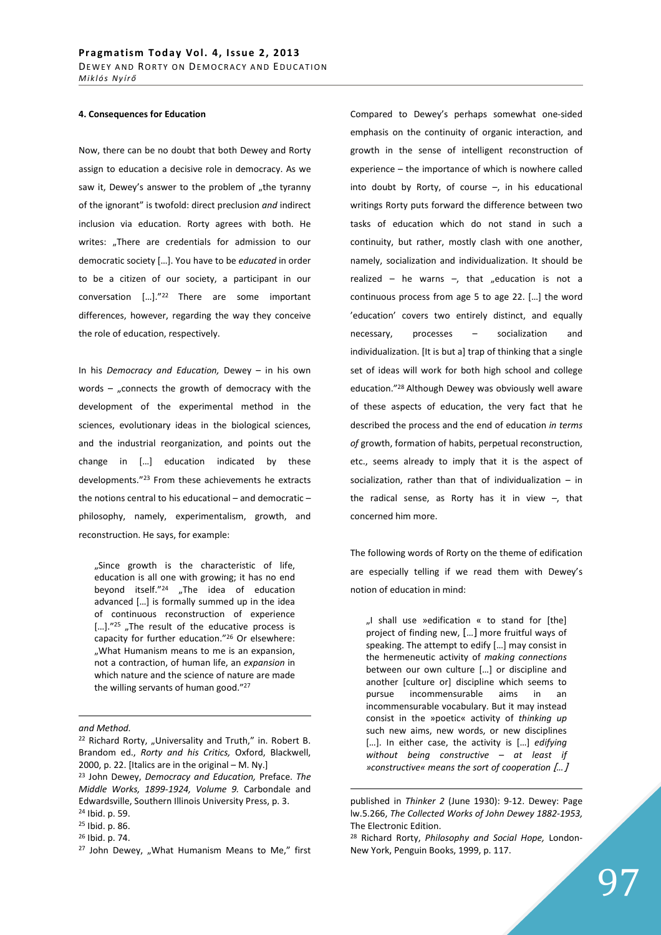### **4. Consequences for Education**

Now, there can be no doubt that both Dewey and Rorty assign to education a decisive role in democracy. As we saw it, Dewey's answer to the problem of "the tyranny of the ignorant" is twofold: direct preclusion *and* indirect inclusion via education. Rorty agrees with both. He writes: "There are credentials for admission to our democratic society […]. You have to be *educated* in order to be a citizen of our society, a participant in our conversation  $[...]$ ."<sup>22</sup> There are some important differences, however, regarding the way they conceive the role of education, respectively.

In his *Democracy and Education,* Dewey – in his own words – "connects the growth of democracy with the development of the experimental method in the sciences, evolutionary ideas in the biological sciences, and the industrial reorganization, and points out the change in […] education indicated by these developments."<sup>23</sup> From these achievements he extracts the notions central to his educational – and democratic – philosophy, namely, experimentalism, growth, and reconstruction. He says, for example:

"Since growth is the characteristic of life, education is all one with growing; it has no end beyond itself." $24$  ,The idea of education advanced […] is formally summed up in the idea of continuous reconstruction of experience [...]. $"^{25}$  "The result of the educative process is capacity for further education."<sup>26</sup> Or elsewhere: "What Humanism means to me is an expansion, not a contraction, of human life, an *expansion* in which nature and the science of nature are made the willing servants of human good."<sup>27</sup>

### *and Method.*

<u>.</u>

Compared to Dewey's perhaps somewhat one-sided emphasis on the continuity of organic interaction, and growth in the sense of intelligent reconstruction of experience – the importance of which is nowhere called into doubt by Rorty, of course  $-$ , in his educational writings Rorty puts forward the difference between two tasks of education which do not stand in such a continuity, but rather, mostly clash with one another, namely, socialization and individualization. It should be realized – he warns –, that "education is not a continuous process from age 5 to age 22. […] the word 'education' covers two entirely distinct, and equally necessary, processes – socialization and individualization. [It is but a] trap of thinking that a single set of ideas will work for both high school and college education."<sup>28</sup> Although Dewey was obviously well aware of these aspects of education, the very fact that he described the process and the end of education *in terms of* growth, formation of habits, perpetual reconstruction, etc., seems already to imply that it is the aspect of socialization, rather than that of individualization – in the radical sense, as Rorty has it in view  $-$ , that concerned him more.

The following words of Rorty on the theme of edification are especially telling if we read them with Dewey's notion of education in mind:

 $\mu$  shall use »edification « to stand for [the] project of finding new, […] more fruitful ways of speaking. The attempt to edify […] may consist in the hermeneutic activity of *making connections* between our own culture […] or discipline and another [culture or] discipline which seems to pursue incommensurable aims in an incommensurable vocabulary. But it may instead consist in the »poetic« activity of *thinking up*  such new aims, new words, or new disciplines […]. In either case, the activity is […] *edifying without being constructive – at least if »constructive« means the sort of cooperation* [*…*]

 $22$  Richard Rorty, "Universality and Truth," in. Robert B. Brandom ed., *Rorty and his Critics,* Oxford, Blackwell, 2000, p. 22. [Italics are in the original – M. Ny.]

<sup>23</sup> John Dewey, *Democracy and Education,* Preface. *The Middle Works, 1899-1924, Volume 9.* Carbondale and Edwardsville, Southern Illinois University Press, p. 3. <sup>24</sup> Ibid. p. 59.

<sup>25</sup> Ibid. p. 86. <sup>26</sup> Ibid. p. 74.

 $27$  John Dewey, "What Humanism Means to Me," first

published in *Thinker 2* (June 1930): 9-12. Dewey: Page lw.5.266, *The Collected Works of John Dewey 1882-1953,*  The Electronic Edition.

<sup>28</sup> Richard Rorty, *Philosophy and Social Hope,* London-New York, Penguin Books, 1999, p. 117.